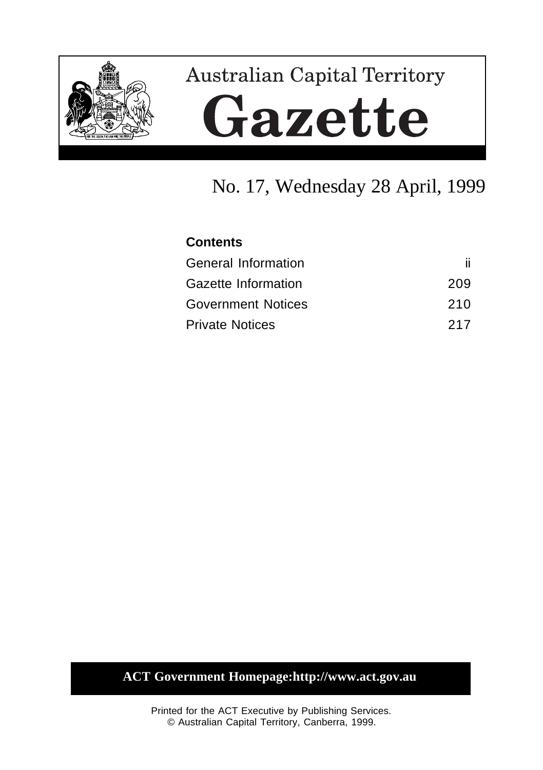

# **Australian Capital Territory** Gazette

# No. 17, Wednesday 28 April, 1999

### **Contents**

| <b>General Information</b> |     |
|----------------------------|-----|
| Gazette Information        | 209 |
| <b>Government Notices</b>  | 210 |
| <b>Private Notices</b>     | 217 |

# **ACT Government Homepage:http://www.act.gov.au**

Printed for the ACT Executive by Publishing Services. © Australian Capital Territory, Canberra, 1999.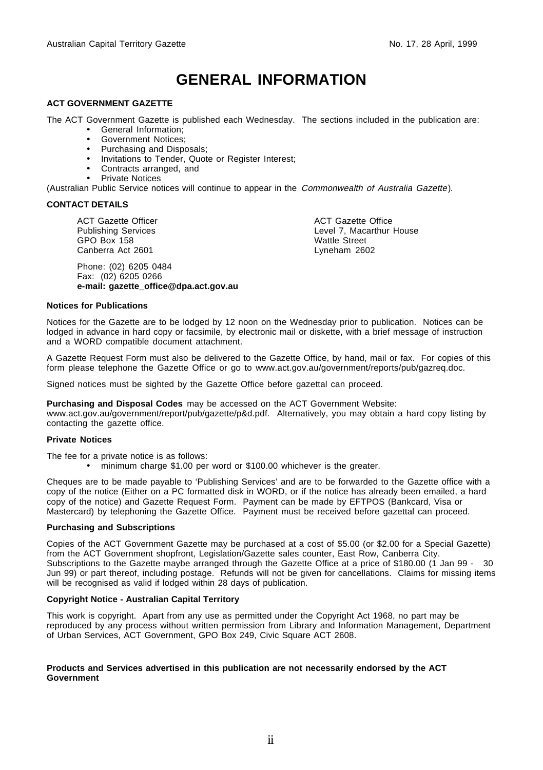# **GENERAL INFORMATION**

### **ACT GOVERNMENT GAZETTE**

The ACT Government Gazette is published each Wednesday. The sections included in the publication are:

- General Information;
- Government Notices;
- Purchasing and Disposals;
- Invitations to Tender, Quote or Register Interest;
- Contracts arranged, and
- Private Notices

(Australian Public Service notices will continue to appear in the Commonwealth of Australia Gazette).

#### **CONTACT DETAILS**

ACT Gazette Officer Publishing Services GPO Box 158 Canberra Act 2601

Phone: (02) 6205 0484 Fax: (02) 6205 0266 **e-mail: gazette\_office@dpa.act.gov.au** ACT Gazette Office Level 7, Macarthur House Wattle Street Lyneham 2602

### **Notices for Publications**

Notices for the Gazette are to be lodged by 12 noon on the Wednesday prior to publication. Notices can be lodged in advance in hard copy or facsimile, by electronic mail or diskette, with a brief message of instruction and a WORD compatible document attachment.

A Gazette Request Form must also be delivered to the Gazette Office, by hand, mail or fax. For copies of this form please telephone the Gazette Office or go to www.act.gov.au/government/reports/pub/gazreq.doc.

Signed notices must be sighted by the Gazette Office before gazettal can proceed.

**Purchasing and Disposal Codes** may be accessed on the ACT Government Website:

www.act.gov.au/government/report/pub/gazette/p&d.pdf. Alternatively, you may obtain a hard copy listing by contacting the gazette office.

### **Private Notices**

The fee for a private notice is as follows:

• minimum charge \$1.00 per word or \$100.00 whichever is the greater.

Cheques are to be made payable to 'Publishing Services' and are to be forwarded to the Gazette office with a copy of the notice (Either on a PC formatted disk in WORD, or if the notice has already been emailed, a hard copy of the notice) and Gazette Request Form. Payment can be made by EFTPOS (Bankcard, Visa or Mastercard) by telephoning the Gazette Office. Payment must be received before gazettal can proceed.

### **Purchasing and Subscriptions**

Copies of the ACT Government Gazette may be purchased at a cost of \$5.00 (or \$2.00 for a Special Gazette) from the ACT Government shopfront, Legislation/Gazette sales counter, East Row, Canberra City. Subscriptions to the Gazette maybe arranged through the Gazette Office at a price of \$180.00 (1 Jan 99 - 30 Jun 99) or part thereof, including postage. Refunds will not be given for cancellations. Claims for missing items will be recognised as valid if lodged within 28 days of publication.

### **Copyright Notice - Australian Capital Territory**

This work is copyright. Apart from any use as permitted under the Copyright Act 1968, no part may be reproduced by any process without written permission from Library and Information Management, Department of Urban Services, ACT Government, GPO Box 249, Civic Square ACT 2608.

### **Products and Services advertised in this publication are not necessarily endorsed by the ACT Government**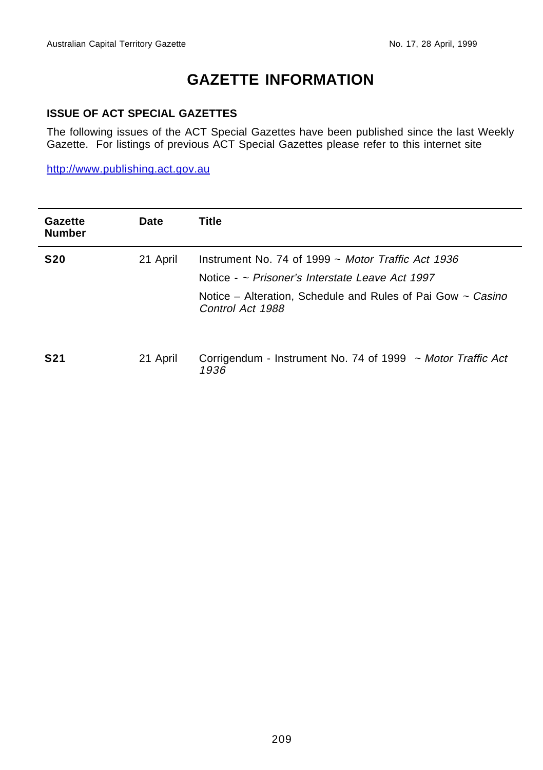# **GAZETTE INFORMATION**

### **ISSUE OF ACT SPECIAL GAZETTES**

The following issues of the ACT Special Gazettes have been published since the last Weekly Gazette. For listings of previous ACT Special Gazettes please refer to this internet site

http://www.publishing.act.gov.au

| Gazette<br><b>Number</b> | Date     | Title                                                                                                                                                                                                   |
|--------------------------|----------|---------------------------------------------------------------------------------------------------------------------------------------------------------------------------------------------------------|
| <b>S20</b>               | 21 April | Instrument No. 74 of 1999 $\sim$ Motor Traffic Act 1936<br>Notice - $\sim$ Prisoner's Interstate Leave Act 1997<br>Notice – Alteration, Schedule and Rules of Pai Gow $\sim$ Casino<br>Control Act 1988 |
| <b>S21</b>               | 21 April | Corrigendum - Instrument No. 74 of 1999 ~ Motor Traffic Act<br>1936                                                                                                                                     |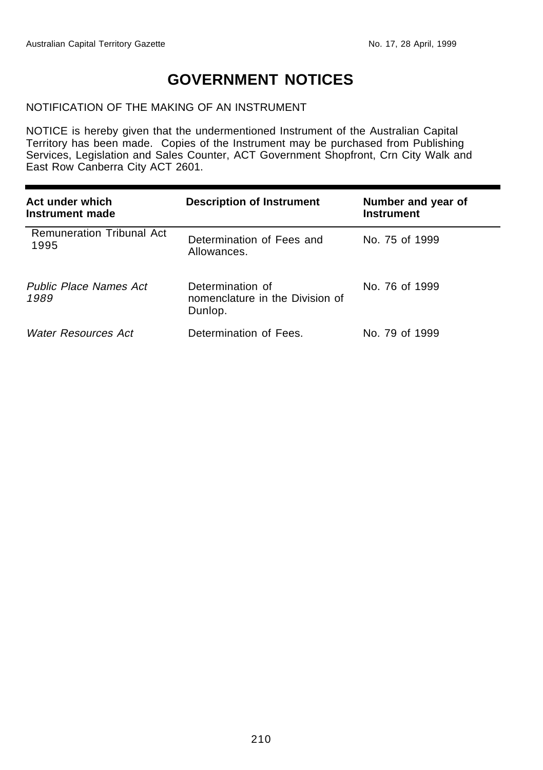# **GOVERNMENT NOTICES**

### NOTIFICATION OF THE MAKING OF AN INSTRUMENT

NOTICE is hereby given that the undermentioned Instrument of the Australian Capital Territory has been made. Copies of the Instrument may be purchased from Publishing Services, Legislation and Sales Counter, ACT Government Shopfront, Crn City Walk and East Row Canberra City ACT 2601.

| Act under which<br>Instrument made       | <b>Description of Instrument</b>                               | Number and year of<br><b>Instrument</b> |
|------------------------------------------|----------------------------------------------------------------|-----------------------------------------|
| <b>Remuneration Tribunal Act</b><br>1995 | Determination of Fees and<br>Allowances.                       | No. 75 of 1999                          |
| <b>Public Place Names Act</b><br>1989    | Determination of<br>nomenclature in the Division of<br>Dunlop. | No. 76 of 1999                          |
| Water Resources Act                      | Determination of Fees.                                         | No. 79 of 1999                          |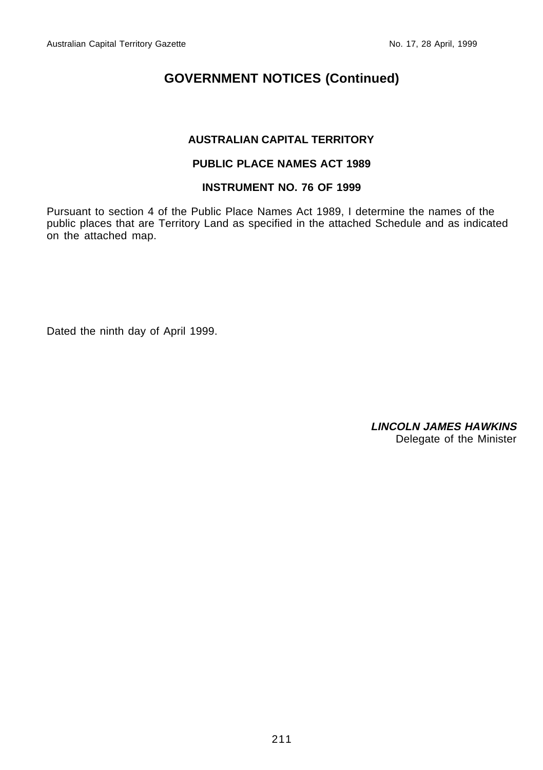### **AUSTRALIAN CAPITAL TERRITORY**

### **PUBLIC PLACE NAMES ACT 1989**

### **INSTRUMENT NO. 76 OF 1999**

Pursuant to section 4 of the Public Place Names Act 1989, I determine the names of the public places that are Territory Land as specified in the attached Schedule and as indicated on the attached map.

Dated the ninth day of April 1999.

**LINCOLN JAMES HAWKINS** Delegate of the Minister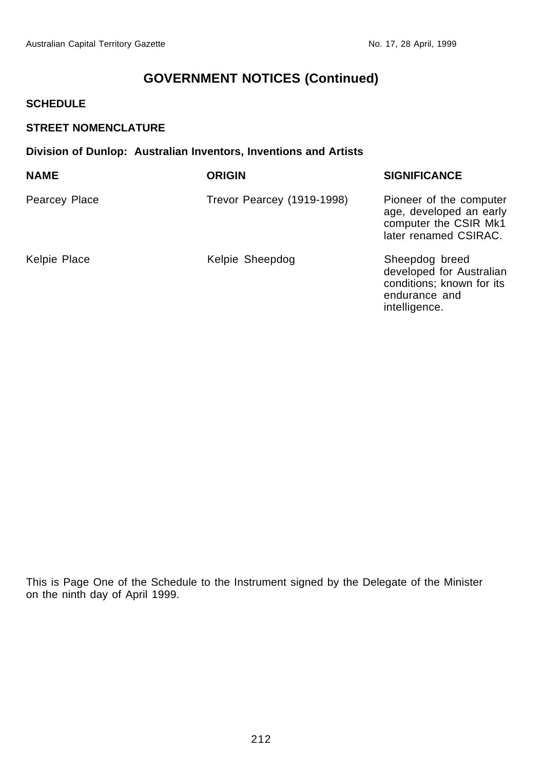### **SCHEDULE**

### **STREET NOMENCLATURE**

### **Division of Dunlop: Australian Inventors, Inventions and Artists**

| <b>NAME</b>   | <b>ORIGIN</b>              | <b>SIGNIFICANCE</b>                                                                                       |
|---------------|----------------------------|-----------------------------------------------------------------------------------------------------------|
| Pearcey Place | Trevor Pearcey (1919-1998) | Pioneer of the computer<br>age, developed an early<br>computer the CSIR Mk1<br>later renamed CSIRAC.      |
| Kelpie Place  | Kelpie Sheepdog            | Sheepdog breed<br>developed for Australian<br>conditions; known for its<br>endurance and<br>intelligence. |

This is Page One of the Schedule to the Instrument signed by the Delegate of the Minister on the ninth day of April 1999.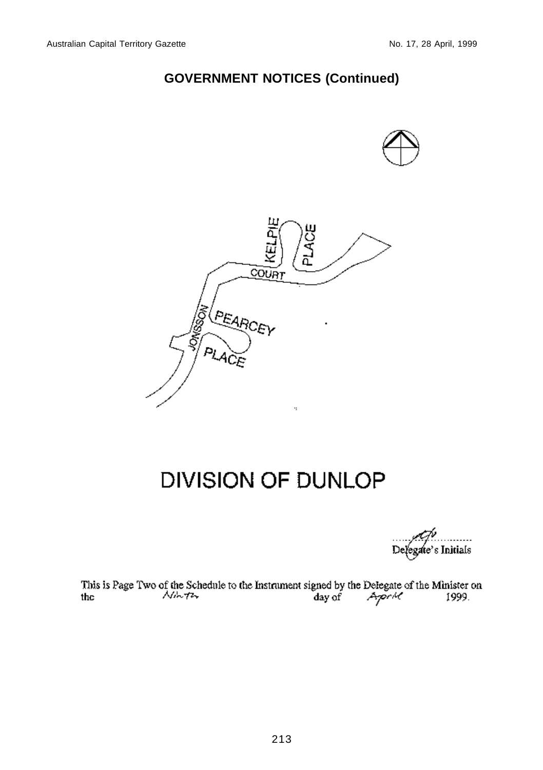

# DIVISION OF DUNLOP

egate's Initials De.

This is Page Two of the Schedule to the Instrument signed by the Delegate of the Minister on the Archives 1999.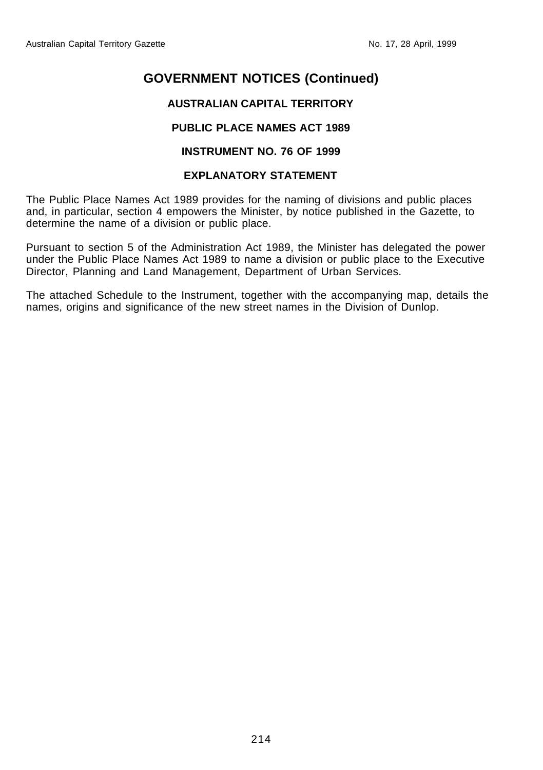### **AUSTRALIAN CAPITAL TERRITORY**

### **PUBLIC PLACE NAMES ACT 1989**

### **INSTRUMENT NO. 76 OF 1999**

### **EXPLANATORY STATEMENT**

The Public Place Names Act 1989 provides for the naming of divisions and public places and, in particular, section 4 empowers the Minister, by notice published in the Gazette, to determine the name of a division or public place.

Pursuant to section 5 of the Administration Act 1989, the Minister has delegated the power under the Public Place Names Act 1989 to name a division or public place to the Executive Director, Planning and Land Management, Department of Urban Services.

The attached Schedule to the Instrument, together with the accompanying map, details the names, origins and significance of the new street names in the Division of Dunlop.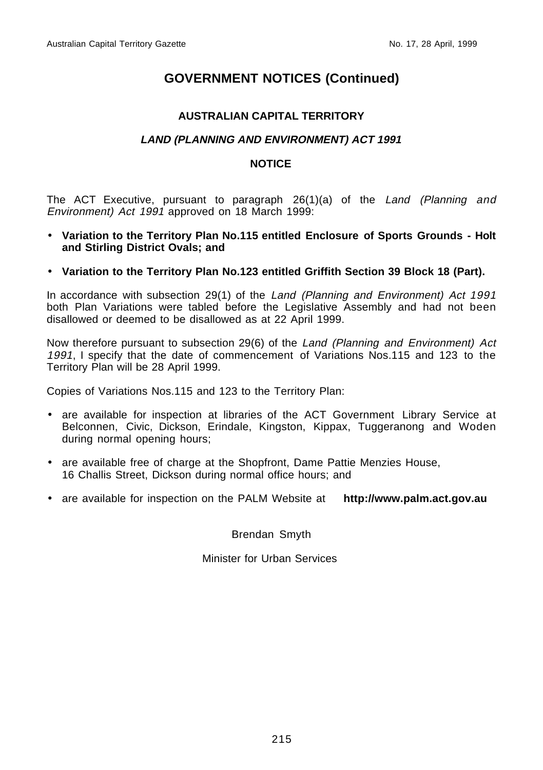### **AUSTRALIAN CAPITAL TERRITORY**

### **LAND (PLANNING AND ENVIRONMENT) ACT 1991**

### **NOTICE**

The ACT Executive, pursuant to paragraph 26(1)(a) of the Land (Planning and Environment) Act 1991 approved on 18 March 1999:

- **Variation to the Territory Plan No.115 entitled Enclosure of Sports Grounds Holt and Stirling District Ovals; and**
- **Variation to the Territory Plan No.123 entitled Griffith Section 39 Block 18 (Part).**

In accordance with subsection 29(1) of the Land (Planning and Environment) Act 1991 both Plan Variations were tabled before the Legislative Assembly and had not been disallowed or deemed to be disallowed as at 22 April 1999.

Now therefore pursuant to subsection 29(6) of the Land (Planning and Environment) Act 1991, I specify that the date of commencement of Variations Nos.115 and 123 to the Territory Plan will be 28 April 1999.

Copies of Variations Nos.115 and 123 to the Territory Plan:

- are available for inspection at libraries of the ACT Government Library Service at Belconnen, Civic, Dickson, Erindale, Kingston, Kippax, Tuggeranong and Woden during normal opening hours;
- are available free of charge at the Shopfront, Dame Pattie Menzies House, 16 Challis Street, Dickson during normal office hours; and
- are available for inspection on the PALM Website at **http://www.palm.act.gov.au**

Brendan Smyth

Minister for Urban Services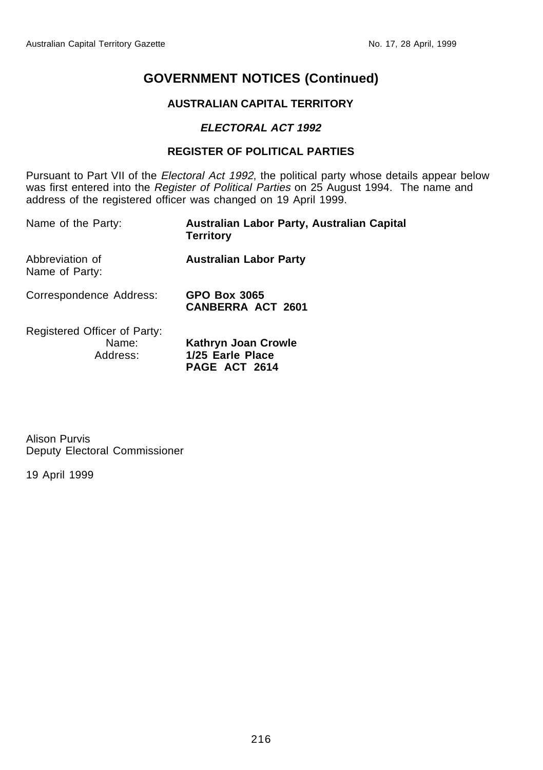### **AUSTRALIAN CAPITAL TERRITORY**

### **ELECTORAL ACT 1992**

### **REGISTER OF POLITICAL PARTIES**

Pursuant to Part VII of the Electoral Act 1992, the political party whose details appear below was first entered into the Register of Political Parties on 25 August 1994. The name and address of the registered officer was changed on 19 April 1999.

| Name of the Party:                                | Australian Labor Party, Australian Capital<br><b>Territory</b> |
|---------------------------------------------------|----------------------------------------------------------------|
| Abbreviation of<br>Name of Party:                 | <b>Australian Labor Party</b>                                  |
| Correspondence Address:                           | <b>GPO Box 3065</b><br><b>CANBERRA ACT 2601</b>                |
| Registered Officer of Party:<br>Name:<br>Address: | Kathryn Joan Crowle<br>1/25 Earle Place<br>PAGE ACT 2614       |

Alison Purvis Deputy Electoral Commissioner

19 April 1999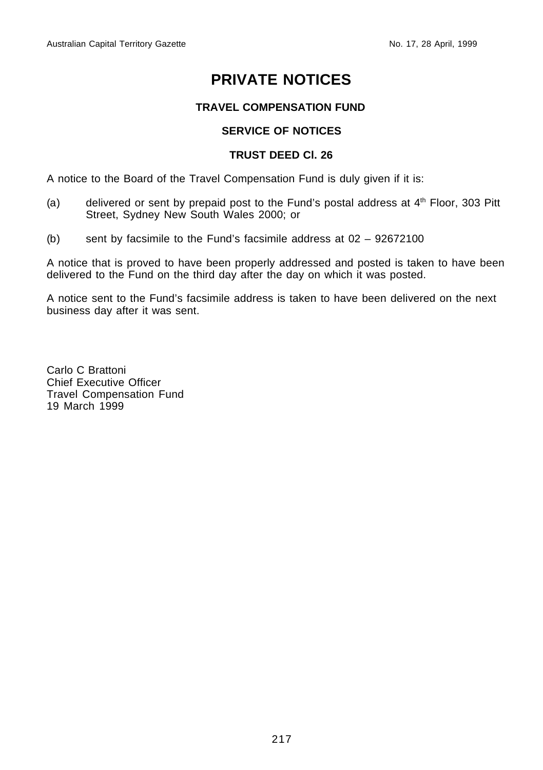# **PRIVATE NOTICES**

### **TRAVEL COMPENSATION FUND**

### **SERVICE OF NOTICES**

### **TRUST DEED Cl. 26**

A notice to the Board of the Travel Compensation Fund is duly given if it is:

- (a) delivered or sent by prepaid post to the Fund's postal address at  $4<sup>th</sup>$  Floor, 303 Pitt Street, Sydney New South Wales 2000; or
- (b) sent by facsimile to the Fund's facsimile address at 02 92672100

A notice that is proved to have been properly addressed and posted is taken to have been delivered to the Fund on the third day after the day on which it was posted.

A notice sent to the Fund's facsimile address is taken to have been delivered on the next business day after it was sent.

Carlo C Brattoni Chief Executive Officer Travel Compensation Fund 19 March 1999